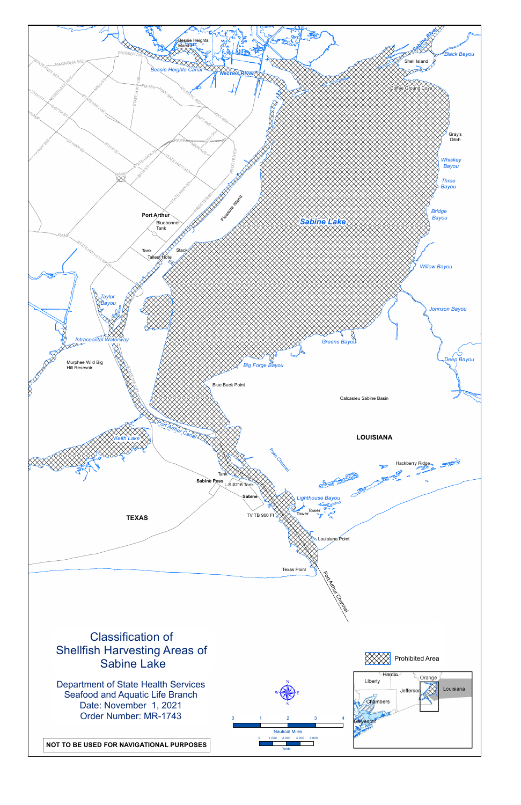

**NOT TO BE USED FOR NAVIGATIONAL PURPOSES**

Department of State Health Services Seafood and Aquatic Life Branch Date: November 1, 2021 Order Number: MR-1743



# Classification of Shellfish Harvesting Areas of